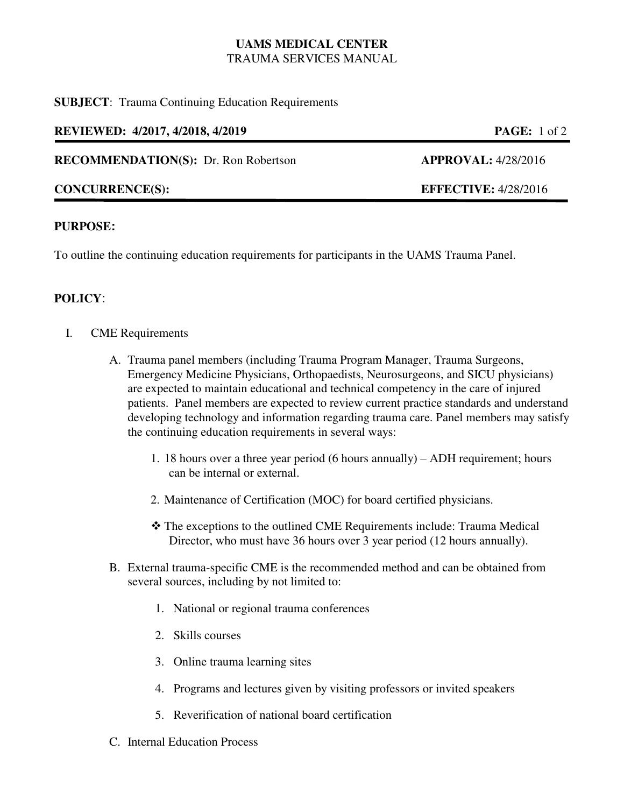## **UAMS MEDICAL CENTER**  TRAUMA SERVICES MANUAL

#### **SUBJECT**: Trauma Continuing Education Requirements

#### **REVIEWED: 4/2017, 4/2018, 4/2019 PAGE:** 1 of 2

#### **RECOMMENDATION(S):** Dr. Ron Robertson **APPROVAL:** 4/28/2016

## **CONCURRENCE(S): EFFECTIVE:** 4/28/2016

## **PURPOSE:**

To outline the continuing education requirements for participants in the UAMS Trauma Panel.

# **POLICY**:

- I. CME Requirements
	- A. Trauma panel members (including Trauma Program Manager, Trauma Surgeons, Emergency Medicine Physicians, Orthopaedists, Neurosurgeons, and SICU physicians) are expected to maintain educational and technical competency in the care of injured patients. Panel members are expected to review current practice standards and understand developing technology and information regarding trauma care. Panel members may satisfy the continuing education requirements in several ways:
		- 1. 18 hours over a three year period (6 hours annually) ADH requirement; hours can be internal or external.
		- 2. Maintenance of Certification (MOC) for board certified physicians.
		- The exceptions to the outlined CME Requirements include: Trauma Medical Director, who must have 36 hours over 3 year period (12 hours annually).
	- B. External trauma-specific CME is the recommended method and can be obtained from several sources, including by not limited to:
		- 1. National or regional trauma conferences
		- 2. Skills courses
		- 3. Online trauma learning sites
		- 4. Programs and lectures given by visiting professors or invited speakers
		- 5. Reverification of national board certification
	- C. Internal Education Process